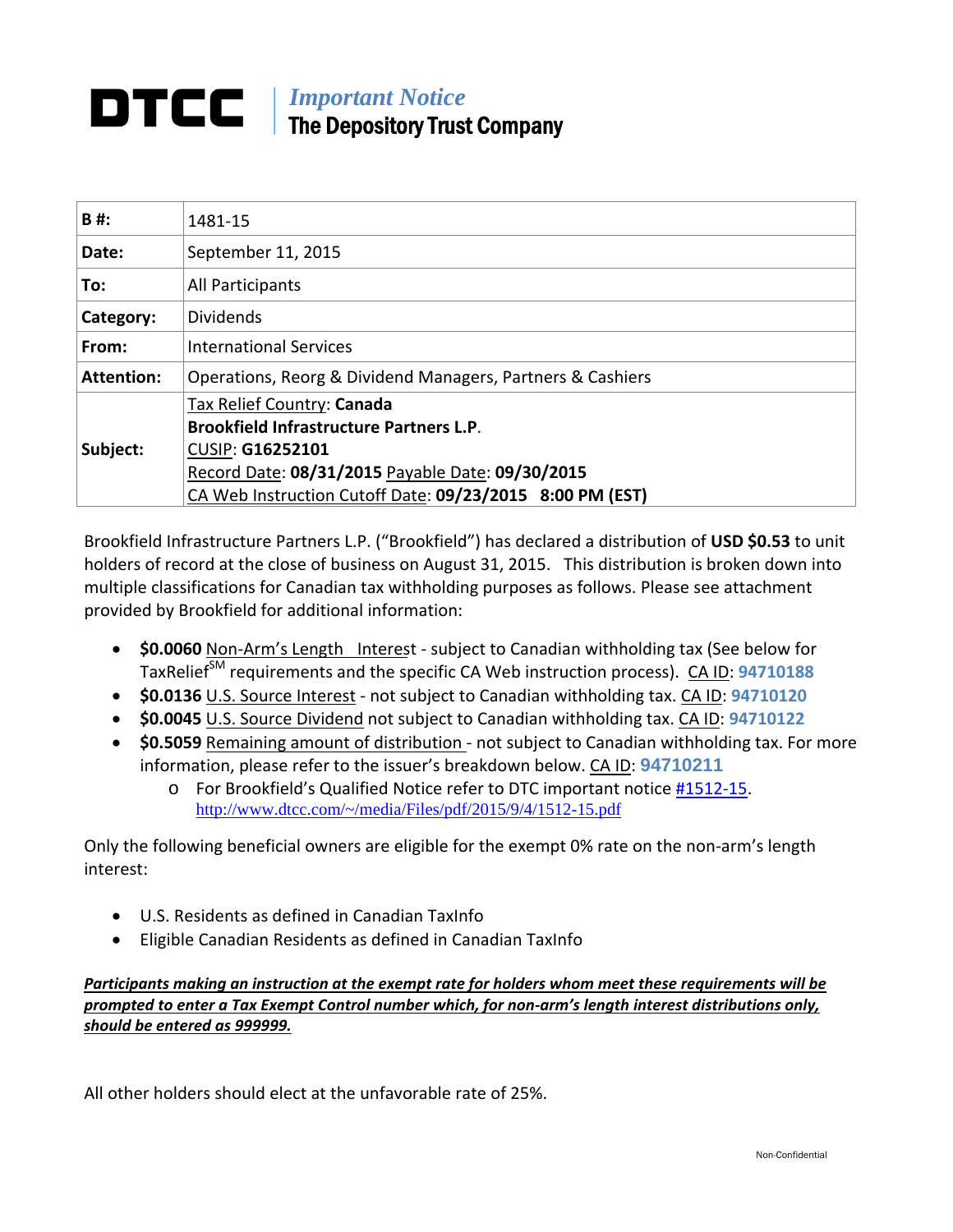### *Important Notice*  The Depository Trust Company

| B#:               | 1481-15                                                                                                                                                                                                                 |
|-------------------|-------------------------------------------------------------------------------------------------------------------------------------------------------------------------------------------------------------------------|
| Date:             | September 11, 2015                                                                                                                                                                                                      |
| To:               | All Participants                                                                                                                                                                                                        |
| Category:         | <b>Dividends</b>                                                                                                                                                                                                        |
| From:             | <b>International Services</b>                                                                                                                                                                                           |
| <b>Attention:</b> | Operations, Reorg & Dividend Managers, Partners & Cashiers                                                                                                                                                              |
| Subject:          | Tax Relief Country: Canada<br><b>Brookfield Infrastructure Partners L.P.</b><br><b>CUSIP: G16252101</b><br>Record Date: 08/31/2015 Payable Date: 09/30/2015<br>CA Web Instruction Cutoff Date: 09/23/2015 8:00 PM (EST) |

Brookfield Infrastructure Partners L.P. ("Brookfield") has declared a distribution of **USD \$0.53** to unit holders of record at the close of business on August 31, 2015. This distribution is broken down into multiple classifications for Canadian tax withholding purposes as follows. Please see attachment provided by Brookfield for additional information:

- **\$0.0060** Non‐Arm's Length Interest ‐ subject to Canadian withholding tax (See below for TaxRelief<sup>SM</sup> requirements and the specific CA Web instruction process). CA ID: 94710188
- **\$0.0136** U.S. Source Interest ‐ not subject to Canadian withholding tax. CA ID: **94710120**
- **\$0.0045** U.S. Source Dividend not subject to Canadian withholding tax. CA ID: **94710122**
- **\$0.5059** Remaining amount of distribution not subject to Canadian withholding tax. For more information, please refer to the issuer's breakdown below. CA ID: **94710211**
	- o For Brookfield's Qualified Notice refer to DTC important notice #1512‐15. http://www.dtcc.com/~/media/Files/pdf/2015/9/4/1512-15.pdf

Only the following beneficial owners are eligible for the exempt 0% rate on the non‐arm's length interest:

- U.S. Residents as defined in Canadian TaxInfo
- Eligible Canadian Residents as defined in Canadian TaxInfo

*Participants making an instruction at the exempt rate for holders whom meet these requirements will be prompted to enter a Tax Exempt Control number which, for non‐arm's length interest distributions only, should be entered as 999999.*

All other holders should elect at the unfavorable rate of 25%.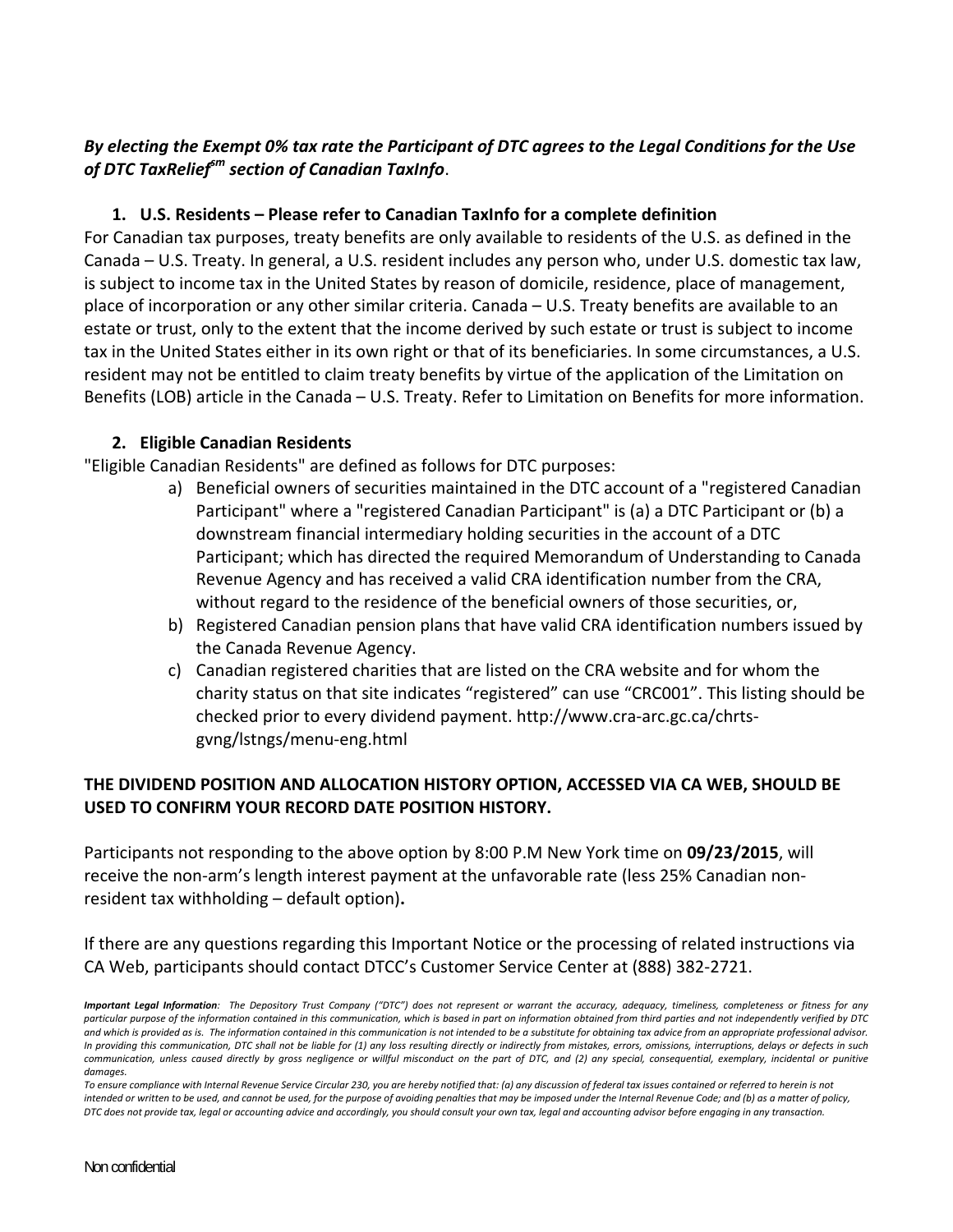#### By electing the Exempt 0% tax rate the Participant of DTC agrees to the Legal Conditions for the Use *of DTC TaxReliefsm section of Canadian TaxInfo*.

#### **1. U.S. Residents – Please refer to Canadian TaxInfo for a complete definition**

For Canadian tax purposes, treaty benefits are only available to residents of the U.S. as defined in the Canada – U.S. Treaty. In general, a U.S. resident includes any person who, under U.S. domestic tax law, is subject to income tax in the United States by reason of domicile, residence, place of management, place of incorporation or any other similar criteria. Canada – U.S. Treaty benefits are available to an estate or trust, only to the extent that the income derived by such estate or trust is subject to income tax in the United States either in its own right or that of its beneficiaries. In some circumstances, a U.S. resident may not be entitled to claim treaty benefits by virtue of the application of the Limitation on Benefits (LOB) article in the Canada – U.S. Treaty. Refer to Limitation on Benefits for more information.

#### **2. Eligible Canadian Residents**

"Eligible Canadian Residents" are defined as follows for DTC purposes:

- a) Beneficial owners of securities maintained in the DTC account of a "registered Canadian Participant" where a "registered Canadian Participant" is (a) a DTC Participant or (b) a downstream financial intermediary holding securities in the account of a DTC Participant; which has directed the required Memorandum of Understanding to Canada Revenue Agency and has received a valid CRA identification number from the CRA, without regard to the residence of the beneficial owners of those securities, or,
- b) Registered Canadian pension plans that have valid CRA identification numbers issued by the Canada Revenue Agency.
- c) Canadian registered charities that are listed on the CRA website and for whom the charity status on that site indicates "registered" can use "CRC001". This listing should be checked prior to every dividend payment. http://www.cra‐arc.gc.ca/chrts‐ gvng/lstngs/menu‐eng.html

#### **THE DIVIDEND POSITION AND ALLOCATION HISTORY OPTION, ACCESSED VIA CA WEB, SHOULD BE USED TO CONFIRM YOUR RECORD DATE POSITION HISTORY.**

Participants not responding to the above option by 8:00 P.M New York time on **09/23/2015**, will receive the non-arm's length interest payment at the unfavorable rate (less 25% Canadian nonresident tax withholding – default option)**.** 

If there are any questions regarding this Important Notice or the processing of related instructions via CA Web, participants should contact DTCC's Customer Service Center at (888) 382‐2721.

Important Legal Information: The Depository Trust Company ("DTC") does not represent or warrant the accuracy, adequacy, timeliness, completeness or fitness for any particular purpose of the information contained in this communication, which is based in part on information obtained from third parties and not independently verified by DTC and which is provided as is. The information contained in this communication is not intended to be a substitute for obtaining tax advice from an appropriate professional advisor. In providing this communication, DTC shall not be liable for (1) any loss resulting directly or indirectly from mistakes, errors, omissions, interruptions, delays or defects in such communication, unless caused directly by gross negligence or willful misconduct on the part of DTC, and (2) any special, consequential, exemplary, incidental or punitive *damages.*

To ensure compliance with Internal Revenue Service Circular 230, you are hereby notified that: (a) any discussion of federal tax issues contained or referred to herein is not intended or written to be used, and cannot be used, for the purpose of avoiding penalties that may be imposed under the Internal Revenue Code; and (b) as a matter of policy, DTC does not provide tax, legal or accounting advice and accordingly, you should consult your own tax, legal and accounting advisor before engaging in any transaction.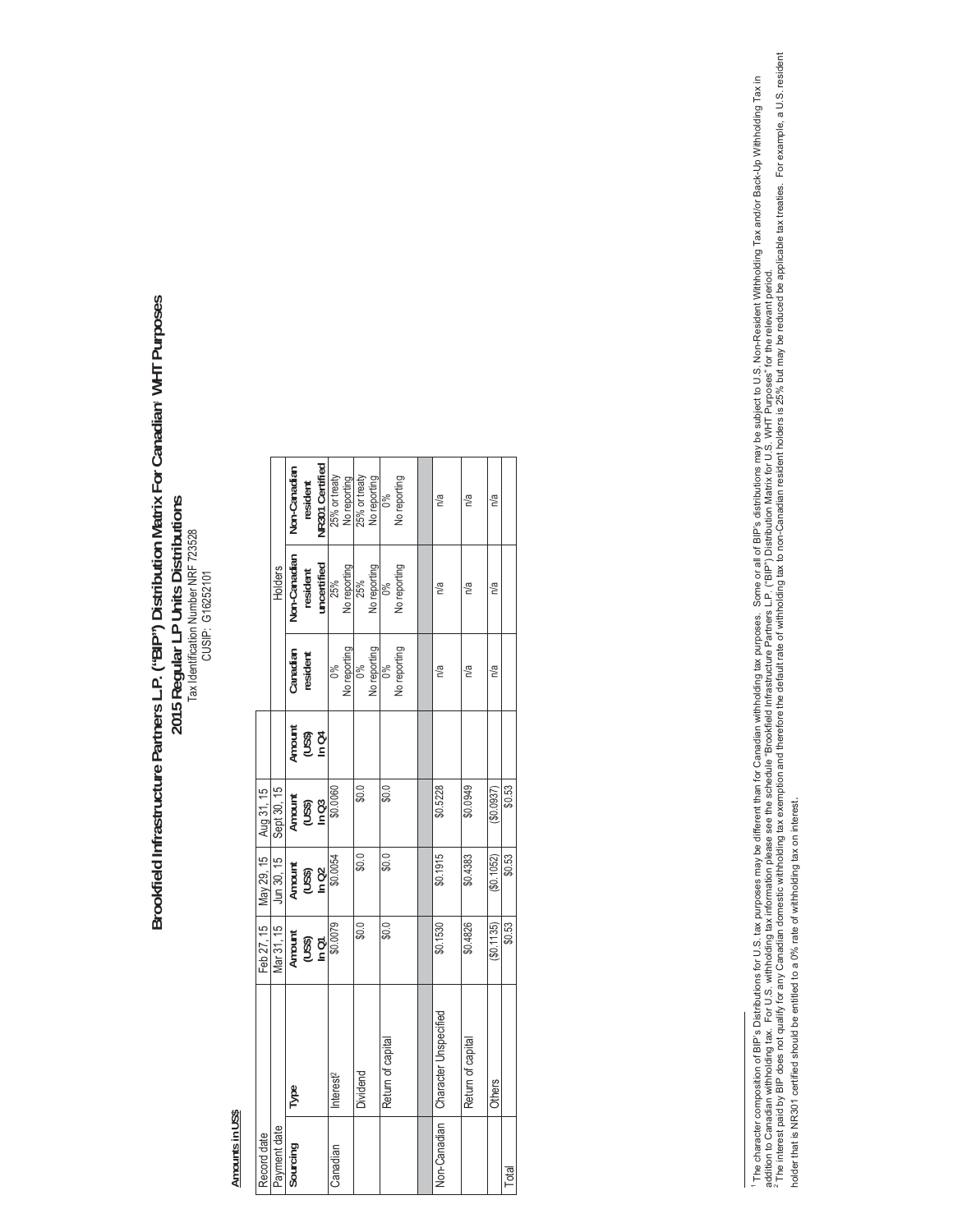# Brookfield Infrastructure Partners L.P. ("BIP") Distribution Matrix For Canadian<sup>,</sup> WHT Purposes  **Brookfield Infrastructure Partners L.P. ("BIP") Distribution Matrix For Canadian**1 **WHT Purposes**  2015 Regular LP Units Distributions<br>Tax Identification Number NFF 723528<br>CUSIP: G16252101 **2015 Regular LP Units Distributions**  Tax Identification Number NRF 723528 CUSIP: G16252101

## Amounts in US\$ **Amounts in US\$**

| Record date  |                              |                           | Feb 27, 15   May 29, 15   | Aug 31, 15                |                           |              |                     |                        |  |
|--------------|------------------------------|---------------------------|---------------------------|---------------------------|---------------------------|--------------|---------------------|------------------------|--|
| Payment date |                              | Mar 31, 15                | Jun 30, 15                | Sept 30, 15               |                           |              | Holders             |                        |  |
| Sourcing     | Type                         |                           |                           |                           |                           | Canadian     | <b>Von-Canadian</b> | Non-Canadian           |  |
|              |                              | Amount<br>(US\$)<br>In Q1 | Amount<br>(US\$)<br>In Q2 | Amount<br>(US\$)<br>In C3 | Amount<br>(US\$)<br>In C4 | resident     | resident            | resident               |  |
|              |                              |                           |                           |                           |                           |              | uncertified         | <b>NR301 Certified</b> |  |
| Canadian     | Interest <sup>2</sup>        | \$0.0079                  | \$0.0054                  | \$0.0060                  |                           | °°,          | 25%                 | 25% or treaty          |  |
|              |                              |                           |                           |                           |                           | No reporting | No reporting        | No reporting           |  |
|              | Dividend                     | $\frac{0}{9}$             | \$0.0                     | \$0.0                     |                           | 0%           | 25%                 | 25% or treaty          |  |
|              |                              |                           |                           |                           |                           | No reporting | No reporting        | No reporting           |  |
|              | Return of capital            | \$0.0                     | \$0.0                     | \$0.0                     |                           | $\delta$     | 86                  | ಠಿಂ                    |  |
|              |                              |                           |                           |                           |                           | No reporting | No reporting        | No reporting           |  |
|              |                              |                           |                           |                           |                           |              |                     |                        |  |
| Non-Canadian | <b>Character Unspecified</b> | \$0.1530                  | \$0.1915                  | \$0.5228                  |                           | n/a          | n/a                 | n/a                    |  |
|              | Return of capital            | \$0.4826                  | \$0.4383                  | \$0.0949                  |                           | n/a          | n/a                 | n/a                    |  |
|              | <b>Others</b>                | (\$0.1135)                | (\$0.1052)                | $($ \$0.0937)             |                           | n/a          | n/a                 | n/a                    |  |
|              |                              | \$0.53                    | \$0.53                    | \$0.53                    |                           |              |                     |                        |  |
|              |                              |                           |                           |                           |                           |              |                     |                        |  |

' The character composition of BIP's Distributions for U.S. tax purposes may be different than for Canadian withholding tax purposes. Some or all of BIP's distributions may be subject to U.S. Non-Resident Withholding Tax additon to Canadian withholding tax. For U.S. withholding tax information please see the schedule "Brookfield Infrastructure Partners L.P. ("BIP") Distribution Matrix for U.S. WHT Purposes" for the relevant period.<br>\* The i The character composition of BIP's Distributions for U.S. tax purposes may be different than for Canadian withholding tax purposes. Some or all of BIP's distributions may be subject to U.S. Non-Resident Withholding Tax and holder that is NR301 certified should be entitled to a 0% rate of withholding tax on interest.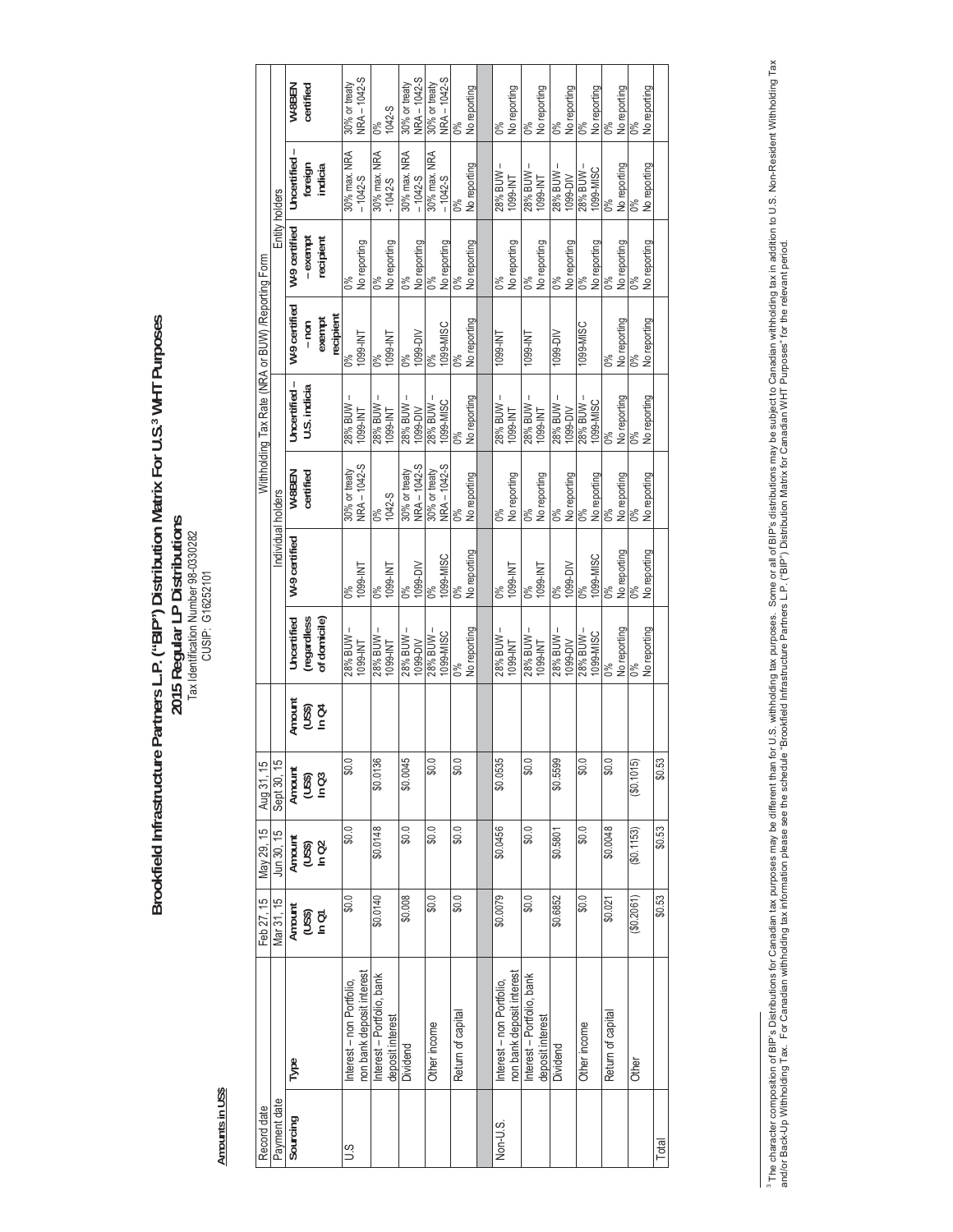Brookfield Infrastructure Partners L.P. ("BIP") Distribution Matrix For U.S.<sup>3</sup> WHT Purposes<br>2015 Regular LP Distributions<br>Tax Identification Number 98-0330282 **Brookfield Infrastructure Partners L.P. ("BIP") Distribution Matrix For U.S.3 WHT Purposes 2015 Regular LP Distributions**  Tax Identification Number 98-0330282 CUSIP: G16252101

> Amounts in US\$ **Amounts in US\$**

| Record date  |                            | Feb 27, 15          | $\blacksquare$ May 29, 15 | Aug 31, 15                |        |                             |                    |               | Withholding Tax Rate (NRA or BUW) /Reporting Form |                     |                |                    |                               |
|--------------|----------------------------|---------------------|---------------------------|---------------------------|--------|-----------------------------|--------------------|---------------|---------------------------------------------------|---------------------|----------------|--------------------|-------------------------------|
| Payment date |                            | Mar 31, 15          | Jun 30, 15                | Sept 30, 15               |        |                             | Individual holders |               |                                                   |                     | Entity holders |                    |                               |
| Sourcing     | Type                       | Amount              | Amount                    |                           | Amount | Uncertified                 | W-9 certified      | W-8BEN        | Uncertified-                                      | W-9 certified       | W-9 certified  | I<br>Uncertified   | W-8BEN                        |
|              |                            | <b>LDUI</b><br>OSSD | $2040$<br>$\frac{1}{2}$   | Amount<br>(US\$)<br>In Q3 | (USS)  | (regardless<br>of domicile) |                    | certified     | U.S. indicia                                      | $-$ non             | - exempt       | foreign<br>indicia | certified                     |
|              |                            |                     |                           |                           | In Q4  |                             |                    |               |                                                   | recipient<br>exempt | recipient      |                    |                               |
| S.N          | Interest - non Portfolio,  | \$0.0               | \$0.0                     | \$0.0                     |        | 28% BUW                     | $0\%$              | 30% or treaty | 28% BUW                                           | 0%                  | $0\%$          | 30% max. NRA       | 30% or treaty                 |
|              | non bank deposit interest  |                     |                           |                           |        | 1099-INT                    | 1099-INT           | NRA-1042-S    | 1099-INT                                          | TM-6601             | No reporting   | $-1042-5$          | NRA-1042-S                    |
|              | Interest – Portfolio, bank | \$0.0140            | \$0.0148                  | \$0.0136                  |        | 28% BUW                     | 0%                 | $0\%$         | 28% BUW                                           | $0\%$               | $0\%$          | 30% max. NRA       | 0%                            |
|              | deposit interest           |                     |                           |                           |        | 1099-INT                    | TMI-6601           | 1042-S        | 1099-INT                                          | 1099-INT            | No reporting   | $-1042-5$          | 1042-S                        |
|              | Dividend                   | \$0.008             | \$0.0                     | \$0.0045                  |        | 28% BUW-                    | $0\%$              | 30% or treaty | 28% BUW-                                          | $\frac{90}{60}$     | $0\%$          | 30% max. NRA       | 30% or treaty<br>NRA - 1042-S |
|              |                            |                     |                           |                           |        | 1099-DIV                    | 1099-DIV           | NRA - 1042-S  | 1099-DIV                                          | 1099-DIV            | No reporting   | $-1042-5$          |                               |
|              | Other income               | \$0.0               | \$0.0                     | 0.0                       |        | - MNB %82                   | $0\%$              | 30% or treaty | - MUB % 82                                        | $\frac{6}{6}$       | O%             | 30% max. NRA       | 30% or treaty                 |
|              |                            |                     |                           |                           |        | 1099-MISC                   | 1099-MISC          | NRA - 1042-S  | 1099-MISC                                         | 1099-MISC           | No reporting   | $-1042-5$          | NRA - 1042-S                  |
|              | Retum of capital           | $\frac{6}{2}$       | \$0.0                     | \$0.0                     |        | ŏ°                          | $\frac{6}{6}$      | $\frac{6}{6}$ | 0%                                                | $\frac{6}{6}$       | $0\%$          | $\frac{6}{6}$      | $\frac{6}{6}$                 |
|              |                            |                     |                           |                           |        | No reporting                | No reporting       | No reporting  | No reporting                                      | No reporting        | No reporting   | No reporting       | No reporting                  |
|              |                            |                     |                           |                           |        |                             |                    |               |                                                   |                     |                |                    |                               |
| Non-U.S.     | Interest - non Portfolio,  | \$0.0079            | \$0.0456                  | \$0.0535                  |        | 28% BUW                     | $0\%$              | $0\%$         | 28% BUW-                                          | 1099-INT            | $0\%$          | 28% BUW            | $\delta^{\circ}$              |
|              | non bank deposit interest  |                     |                           |                           |        | 1099-INT                    | TM-6601            | No reporting  | 1099-INT                                          |                     | No reporting   | TM-6601            | No reporting                  |
|              | Interest - Portfolio, bank | \$0.0               | \$0.0                     | \$0.0                     |        | 28% BUW-                    | $0\%$              | $0\%$         | $28%$ BUW $-$                                     | TM-6601             | $0\%$          | $28\%$ BUW $-$     | $\%0$                         |
|              | deposit interest           |                     |                           |                           |        | <b>TM-660L</b>              | 1099-INT           | No reporting  | <b>TNI-6601</b>                                   |                     | No reporting   | TM-6601            | No reporting                  |
|              | Dividend                   | \$0.6852            | \$0.5801                  | \$0.5599                  |        | 28% BUW                     | $0\%$              | $0\%$         | $28%$ BUW $-$                                     | 1099-DIV            | $0\%$          | - MNB%82           | $0\%$                         |
|              |                            |                     |                           |                           |        | $1099 - DIV$                | 1099-DIV           | No reporting  | 1099-DIV                                          |                     | No reporting   | 1099-DIV           | No reporting                  |
|              | Other income               | \$0.0               | \$0.0                     | 0.08                      |        | $-$ MNB % 82                | $0\%$              | 0%            | - MUB %82                                         | 1099-MISC           | 0%             | - MNB %82          | $0\%$                         |
|              |                            |                     |                           |                           |        | 1099-MISC                   | 1099-MISC          | No reporting  | 1099-MISC                                         |                     | No reporting   | 1099-MISC          | No reporting                  |
|              | Retum of capital           | \$0.021             | \$0.0048                  | \$0.0                     |        | $0\%$                       | $\frac{6}{6}$      | $0\%$         | $0\%$                                             | $\frac{6}{6}$       | $0\%$          | $0\%$              | $0\%$                         |
|              |                            |                     |                           |                           |        | No reporting                | No reporting       | No reporting  | No reporting                                      | No reporting        | No reporting   | No reporting       | No reporting                  |
|              | Other                      | \$0.2061]           | (\$0.1153)                | $($ \$0.1015)             |        | $0\%$                       | $0\%$              |               | $0\%$                                             | $\%0$               |                |                    | $\%0$                         |
|              |                            |                     |                           |                           |        | No reporting                | No reporting       | No reporting  | No reporting                                      | No reporting        | No reporting   | No reporting       | No reporting                  |
| Total        |                            | \$0.53              | \$0.53                    | \$0.53                    |        |                             |                    |               |                                                   |                     |                |                    |                               |
|              |                            |                     |                           |                           |        |                             |                    |               |                                                   |                     |                |                    |                               |

<sup>&</sup>lt;sup>3</sup> The character composition of BIP's Distributions for Canadian tax purposes may be different than for U.S. withholding tax purposes. Some or all of BIP's distributions may be subject to Canadian withholding tax. Inon-R <sup>3</sup> The character composition of BIP's Distributions for Canadian tax purposes may be different than for U.S. withholding tax purposes. Some or all of BIP's distributions may be subject to Canadian withholding tax in addit and/or Back-Up Withholding Tax. For Canadian withholding tax information please see the schedule "Brookfield Infrastructure Partners L.P. ("BIP") Distribution Matrix for Canadian WHT Purposes" for the relevant period.